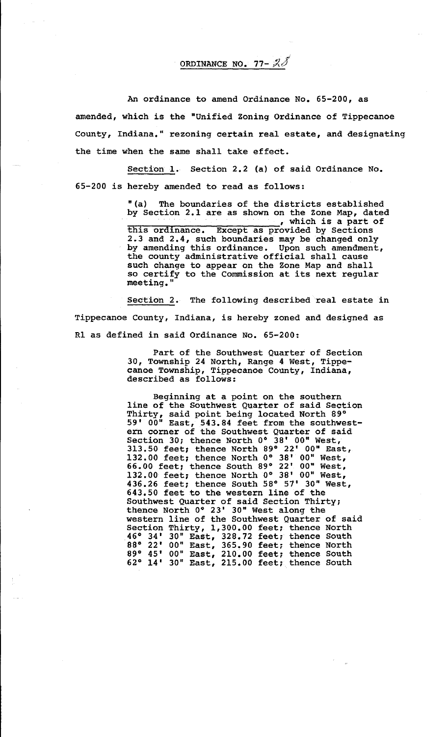ORDINANCE NO. 77- $\mathcal{Z}J$ 

An ordinance to amend Ordinance No, 65-200, as amended, which is the "Unified Zoning Ordinance of Tippecanoe County, Indiana," rezoning certain real estate, and designating the time when the same shall take effect.

Section 1. Section 2,2 (a) of said Ordinance No. 65-200 is hereby amended to read as follows:

> "(a) The boundaries of the districts established by Section 2.1 are as shown on the Zone Map, dated  $\frac{1}{\sqrt{2}}$  , which is a part of this ordinance. Except as provided by Sections 2.3 and 2,4, such boundaries may be changed only by amending this ordinance. Upon such amendment, the county administrative official shall cause such change to appear on the Zone Map and shall so certify to the Commission at its next regular meeting."

Section 2. The following described real estate in Tippecanoe County, Indiana, is hereby zoned and designed as Rl as defined in said Ordinance No. 65-200:

> Part of the Southwest Quarter of Section 30, Township 24 North, Range 4 West, Tippecanoe Township, Tippecanoe County, Indiana, described as follows:

> Beginning at a point on the southern line of the Southwest Quarter of said Section Thirty, said point being located North 89° 59' 00" East, 543.84 feet from the southwestern corner of the Southwest Quarter of said Section 30; thence North 0° 38' 00" West, 313.50 feet; thence North 89° 22' 00" East, 132.00 feet; thence North 0° 38' 00" West, 66.00 feet; thence South 89° 22' 00" West, 132.00 feet; thence North 0° 38' 00" West, 436.26 feet; thence South 58° 57' 30" West, 643.50 feet to the western line of the Southwest Quarter of said Section Thirty; thence North 0° 23' 30" West along the western line of the Southwest Quarter of said Section Thirty, 1,300.00 feet; thence North .46° 34' 30" East, 328.72 feet; thence South 88° 22' 00" East, 365.90 feet; thence North 89° 45' 00" East, 210.00 feet; thence South 62° 14' 30" East, 215.00 feet; thence South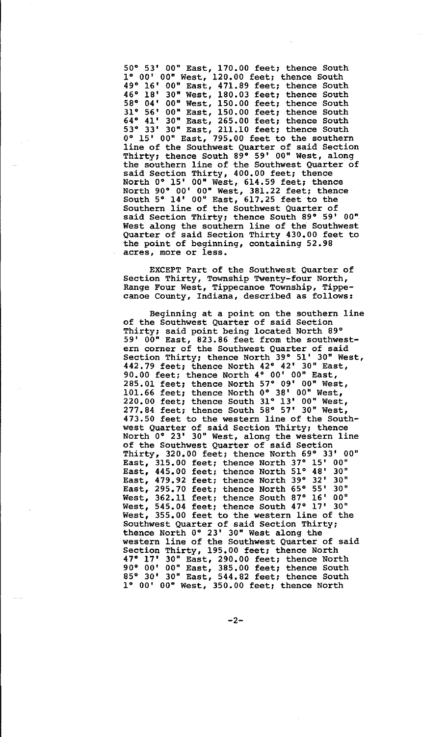50° 53' 00" East, 170.00 feet; thence South 1° 00' 00" West, 120.00 feet; thence South 49° 16' 00" East, 471.89 feet; thence South 46° 18' 30" West, 180.03 feet; thence South 58° 04' 00" West, 150.00 feet; thence South 31° 56' 00" East, 150.00 feet; thence South 64° 41' 30" East, 265.00 feet; thence South 53° 33' 30" East, 211.10 feet; thence South 0° 15' 00" East, 795.00 feet to the southern line of the Southwest Quarter of said Section Thirty; thence South 89° 59' 00" West, along the southern line of the Southwest Quarter of said Section Thirty, 400.00 feet; thence North 0° 15' 00" West, 614.59 feet; thence North 90° 00' 00" West, 381.22 feet; thence South  $5^\circ$   $14^\circ$   $00^\circ$  East,  $617.25$  feet to the Southern line of the Southwest Quarter of said Section Thirty; thence South 89° 59' 00" West along the southern line of the Southwest Quarter of said Section Thirty 430.00 feet to the point of beginning, containing 52.98 acres, more or less.

EXCEPT Part of the Southwest Quarter of Section Thirty, Township Twenty-four North, Range Four West, Tippecanoe Township, Tippecanoe County, Indiana, described as follows:

Beginning at a point on the southern line of the Southwest Quarter of said Section Thirty; said point being located North 89° 59' 00" East, 823.86 feet from the southwestern corner of the Southwest Quarter of said Section Thirty; thence North 39° 51' 30" West, 442.79 feet; thence North 42° 42' 30" East, 90.00 feet; thence North 4° 00' 00" East, 285.01 feet; thence North 57° 09' 00" West, 101.66 feet; thence North 0° 38' 00" West, 220.00 feet; thence South 31° 13' 00" West, 277.84 feet; thence South 58° 57' 30" West, 473.50 feet to the western line of the Southwest Quarter of said Section Thirty; thence North 0° 23' 30" West, along the western line of the Southwest Quarter of said Section Thirty, 320.00 feet; thence North 69° 33' 00" East, 315.00 feet; thence North 37° 15' 00" East, 445.00 feet; thence North 51° 48' 30" East, 479.92 feet; thence North 39° 32' 30" East, 479.92 feet; thence North 39° 32' 30"<br>East, 295.70 feet; thence North 65° 55' 30" West, 362.11 feet; thence South 87° 16' 00" West, 545.04 feet; thence South 47° 17' 30" West, 355.00 feet to the western line of the Southwest Quarter of said Section Thirty; thence North 0° 23' 30" West along the western line of the Southwest Quarter of said Section Thirty, 195.00 feet; thence North 47° 17' 30" East, 290.00 feet; thence North 90° 00' 00" East, 385.00 feet; thence South 85° 30' 30" East, 544.82 feet; thence South 1° 00' 00" West, 350.00 feet; thence North

-2-